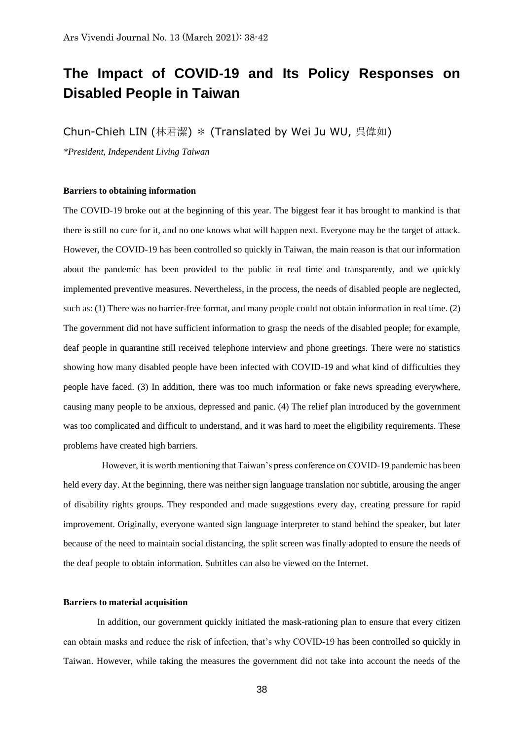# **The Impact of COVID-19 and Its Policy Responses on Disabled People in Taiwan**

Chun-Chieh LIN (林君潔) \* (Translated by Wei Ju WU, 呉偉如)

*\*President, Independent Living Taiwan*

### **Barriers to obtaining information**

The COVID-19 broke out at the beginning of this year. The biggest fear it has brought to mankind is that there is still no cure for it, and no one knows what will happen next. Everyone may be the target of attack. However, the COVID-19 has been controlled so quickly in Taiwan, the main reason is that our information about the pandemic has been provided to the public in real time and transparently, and we quickly implemented preventive measures. Nevertheless, in the process, the needs of disabled people are neglected, such as: (1) There was no barrier-free format, and many people could not obtain information in real time. (2) The government did not have sufficient information to grasp the needs of the disabled people; for example, deaf people in quarantine still received telephone interview and phone greetings. There were no statistics showing how many disabled people have been infected with COVID-19 and what kind of difficulties they people have faced. (3) In addition, there was too much information or fake news spreading everywhere, causing many people to be anxious, depressed and panic. (4) The relief plan introduced by the government was too complicated and difficult to understand, and it was hard to meet the eligibility requirements. These problems have created high barriers.

 However, it is worth mentioning that Taiwan's press conference on COVID-19 pandemic has been held every day. At the beginning, there was neither sign language translation nor subtitle, arousing the anger of disability rights groups. They responded and made suggestions every day, creating pressure for rapid improvement. Originally, everyone wanted sign language interpreter to stand behind the speaker, but later because of the need to maintain social distancing, the split screen was finally adopted to ensure the needs of the deaf people to obtain information. Subtitles can also be viewed on the Internet.

## **Barriers to material acquisition**

 In addition, our government quickly initiated the mask-rationing plan to ensure that every citizen can obtain masks and reduce the risk of infection, that's why COVID-19 has been controlled so quickly in Taiwan. However, while taking the measures the government did not take into account the needs of the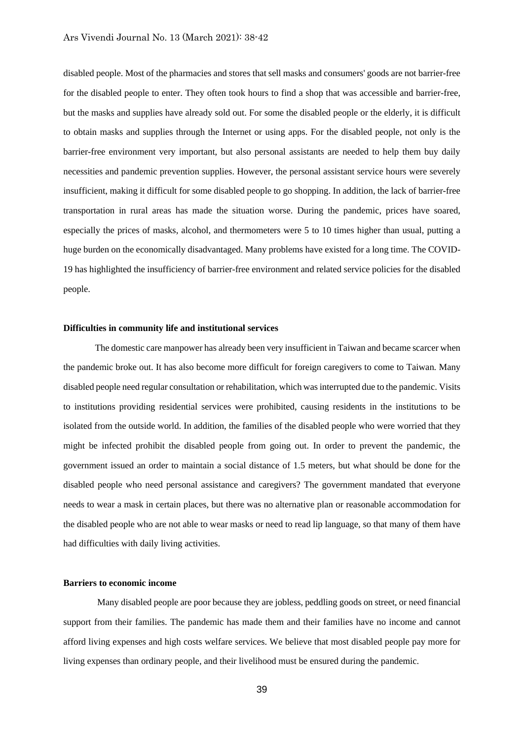disabled people. Most of the pharmacies and stores that sell masks and consumers' goods are not barrier-free for the disabled people to enter. They often took hours to find a shop that was accessible and barrier-free, but the masks and supplies have already sold out. For some the disabled people or the elderly, it is difficult to obtain masks and supplies through the Internet or using apps. For the disabled people, not only is the barrier-free environment very important, but also personal assistants are needed to help them buy daily necessities and pandemic prevention supplies. However, the personal assistant service hours were severely insufficient, making it difficult for some disabled people to go shopping. In addition, the lack of barrier-free transportation in rural areas has made the situation worse. During the pandemic, prices have soared, especially the prices of masks, alcohol, and thermometers were 5 to 10 times higher than usual, putting a huge burden on the economically disadvantaged. Many problems have existed for a long time. The COVID-19 has highlighted the insufficiency of barrier-free environment and related service policies for the disabled people.

#### **Difficulties in community life and institutional services**

 The domestic care manpower has already been very insufficient in Taiwan and became scarcer when the pandemic broke out. It has also become more difficult for foreign caregivers to come to Taiwan. Many disabled people need regular consultation or rehabilitation, which was interrupted due to the pandemic. Visits to institutions providing residential services were prohibited, causing residents in the institutions to be isolated from the outside world. In addition, the families of the disabled people who were worried that they might be infected prohibit the disabled people from going out. In order to prevent the pandemic, the government issued an order to maintain a social distance of 1.5 meters, but what should be done for the disabled people who need personal assistance and caregivers? The government mandated that everyone needs to wear a mask in certain places, but there was no alternative plan or reasonable accommodation for the disabled people who are not able to wear masks or need to read lip language, so that many of them have had difficulties with daily living activities.

#### **Barriers to economic income**

 Many disabled people are poor because they are jobless, peddling goods on street, or need financial support from their families. The pandemic has made them and their families have no income and cannot afford living expenses and high costs welfare services. We believe that most disabled people pay more for living expenses than ordinary people, and their livelihood must be ensured during the pandemic.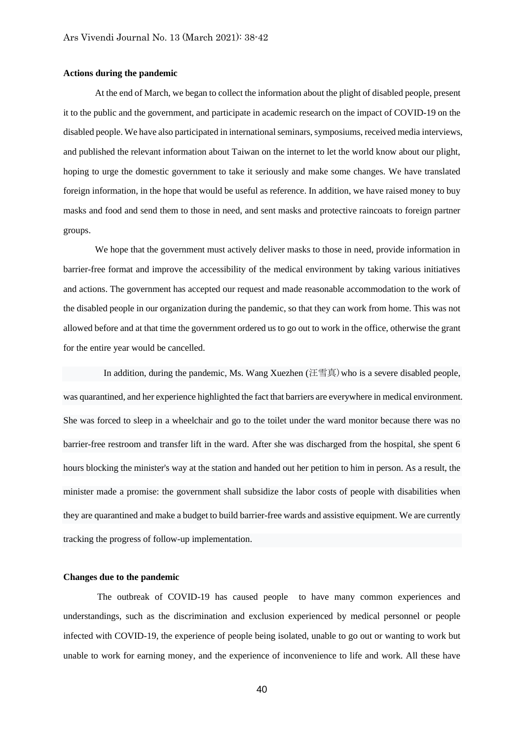### **Actions during the pandemic**

At the end of March, we began to collect the information about the plight of disabled people, present it to the public and the government, and participate in academic research on the impact of COVID-19 on the disabled people. We have also participated in international seminars, symposiums, received media interviews, and published the relevant information about Taiwan on the internet to let the world know about our plight, hoping to urge the domestic government to take it seriously and make some changes. We have translated foreign information, in the hope that would be useful as reference. In addition, we have raised money to buy masks and food and send them to those in need, and sent masks and protective raincoats to foreign partner groups.

We hope that the government must actively deliver masks to those in need, provide information in barrier-free format and improve the accessibility of the medical environment by taking various initiatives and actions. The government has accepted our request and made reasonable accommodation to the work of the disabled people in our organization during the pandemic, so that they can work from home. This was not allowed before and at that time the government ordered us to go out to work in the office, otherwise the grant for the entire year would be cancelled.

 In addition, during the pandemic, Ms. Wang Xuezhen (汪雪真)who is a severe disabled people, was quarantined, and her experience highlighted the fact that barriers are everywhere in medical environment. She was forced to sleep in a wheelchair and go to the toilet under the ward monitor because there was no barrier-free restroom and transfer lift in the ward. After she was discharged from the hospital, she spent 6 hours blocking the minister's way at the station and handed out her petition to him in person. As a result, the minister made a promise: the government shall subsidize the labor costs of people with disabilities when they are quarantined and make a budget to build barrier-free wards and assistive equipment. We are currently tracking the progress of follow-up implementation.

## **Changes due to the pandemic**

The outbreak of COVID-19 has caused people to have many common experiences and understandings, such as the discrimination and exclusion experienced by medical personnel or people infected with COVID-19, the experience of people being isolated, unable to go out or wanting to work but unable to work for earning money, and the experience of inconvenience to life and work. All these have